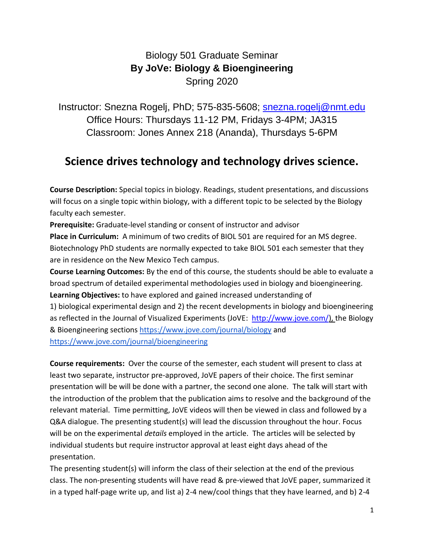## Biology 501 Graduate Seminar **By JoVe: Biology & Bioengineering** Spring 2020

Instructor: Snezna Rogelj, PhD; 575-835-5608; [snezna.rogelj@nmt.edu](mailto:snezna.rogelj@nmt.edu) Office Hours: Thursdays 11-12 PM, Fridays 3-4PM; JA315 Classroom: Jones Annex 218 (Ananda), Thursdays 5-6PM

## **Science drives technology and technology drives science.**

**Course Description:** Special topics in biology. Readings, student presentations, and discussions will focus on a single topic within biology, with a different topic to be selected by the Biology faculty each semester.

**Prerequisite:** Graduate-level standing or consent of instructor and advisor **Place in Curriculum:** A minimum of two credits of BIOL 501 are required for an MS degree. Biotechnology PhD students are normally expected to take BIOL 501 each semester that they are in residence on the New Mexico Tech campus.

**Course Learning Outcomes:** By the end of this course, the students should be able to evaluate a broad spectrum of detailed experimental methodologies used in biology and bioengineering. **Learning Objectives:** to have explored and gained increased understanding of

1) biological experimental design and 2) the recent developments in biology and bioengineering as reflected in the Journal of Visualized Experiments (JoVE: [http://www.jove.com/\)](http://www.jove.com/), the Biology & Bioengineering sections <https://www.jove.com/journal/biology> and <https://www.jove.com/journal/bioengineering>

**Course requirements:** Over the course of the semester, each student will present to class at least two separate, instructor pre-approved, JoVE papers of their choice. The first seminar presentation will be will be done with a partner, the second one alone. The talk will start with the introduction of the problem that the publication aims to resolve and the background of the relevant material. Time permitting, JoVE videos will then be viewed in class and followed by a Q&A dialogue. The presenting student(s) will lead the discussion throughout the hour. Focus will be on the experimental *details* employed in the article. The articles will be selected by individual students but require instructor approval at least eight days ahead of the presentation.

The presenting student(s) will inform the class of their selection at the end of the previous class. The non-presenting students will have read & pre-viewed that JoVE paper, summarized it in a typed half-page write up, and list a) 2-4 new/cool things that they have learned, and b) 2-4